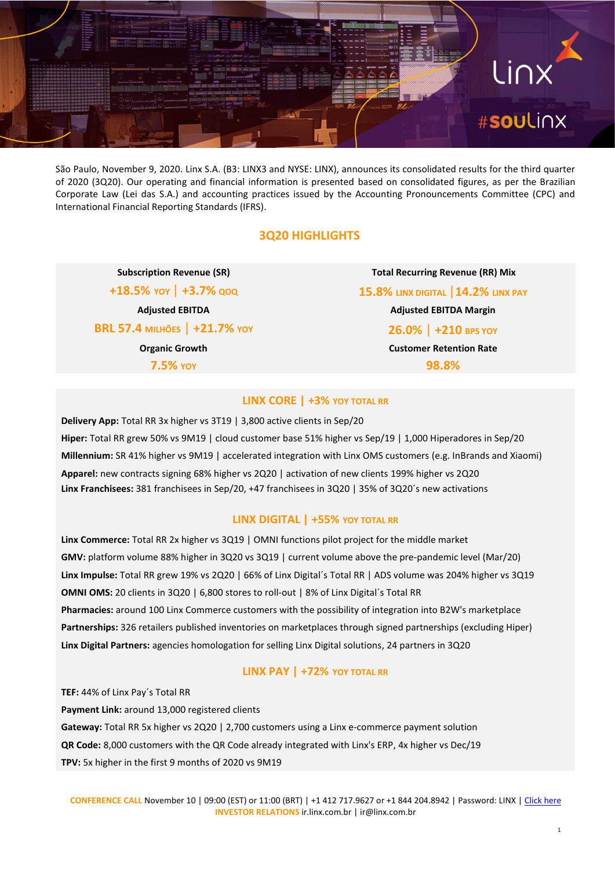

São Paulo, November 9, 2020. Linx S.A. (B3: LINX3 and NYSE: LINX), announces its consolidated results for the third quarter of 2020 (3Q20). Our operating and financial information is presented based on consolidated figures, as per the Brazilian Corporate Law (Lei das S.A.) and accounting practices issued by the Accounting Pronouncements Committee (CPC) and International Financial Reporting Standards (IFRS).

#### **3Q20 HIGHLIGHTS**

**BRL 57.4 MILHÕES** | **+21.7% YOY 26.0%** | **+210 BPS YOY**

**Subscription Revenue (SR) Total Recurring Revenue (RR) Mix +18.5% YOY** | **+3.7% QOQ 15.8% LINX DIGITAL** |**14.2% LINX PAY Adjusted EBITDA Adjusted EBITDA Margin Organic Growth Customer Retention Rate 7.5% YOY 98.8%**

#### **LINX CORE | +3% YOY TOTAL RR**

**Delivery App:** Total RR 3x higher vs 3T19 | 3,800 active clients in Sep/20 **Hiper:** Total RR grew 50% vs 9M19 | cloud customer base 51% higher vs Sep/19 | 1,000 Hiperadores in Sep/20 **Millennium:** SR 41% higher vs 9M19 | accelerated integration with Linx OMS customers (e.g. InBrands and Xiaomi) **Apparel:** new contracts signing 68% higher vs 2Q20 | activation of new clients 199% higher vs 2Q20 **Linx Franchisees:** 381 franchisees in Sep/20, +47 franchisees in 3Q20 | 35% of 3Q20´s new activations

#### **LINX DIGITAL | +55% YOY TOTAL RR**

**Linx Commerce:** Total RR 2x higher vs 3Q19 | OMNI functions pilot project for the middle market **GMV:** platform volume 88% higher in 3Q20 vs 3Q19 | current volume above the pre-pandemic level (Mar/20) **Linx Impulse:** Total RR grew 19% vs 2Q20 | 66% of Linx Digital´s Total RR | ADS volume was 204% higher vs 3Q19 **OMNI OMS:** 20 clients in 3Q20 | 6,800 stores to roll-out | 8% of Linx Digital´s Total RR **Pharmacies:** around 100 Linx Commerce customers with the possibility of integration into B2W's marketplace **Partnerships:** 326 retailers published inventories on marketplaces through signed partnerships (excluding Hiper) **Linx Digital Partners:** agencies homologation for selling Linx Digital solutions, 24 partners in 3Q20

#### **LINX PAY | +72% YOY TOTAL RR**

**TEF:** 44% of Linx Pay´s Total RR **Payment Link:** around 13,000 registered clients **Gateway:** Total RR 5x higher vs 2Q20 | 2,700 customers using a Linx e-commerce payment solution **QR Code:** 8,000 customers with the QR Code already integrated with Linx's ERP, 4x higher vs Dec/19 **TPV:** 5x higher in the first 9 months of 2020 vs 9M19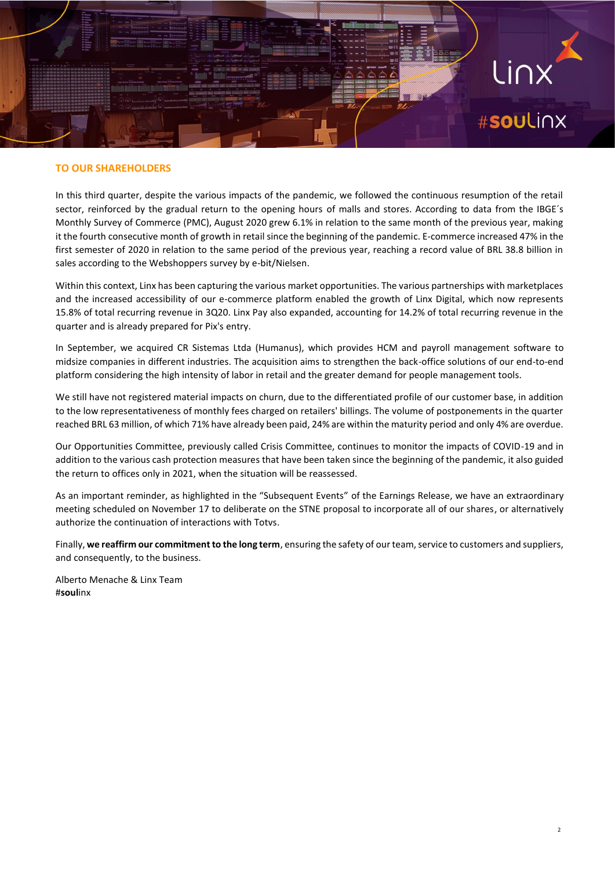## Linx #souLinx

#### **TO OUR SHAREHOLDERS**

In this third quarter, despite the various impacts of the pandemic, we followed the continuous resumption of the retail sector, reinforced by the gradual return to the opening hours of malls and stores. According to data from the IBGE's Monthly Survey of Commerce (PMC), August 2020 grew 6.1% in relation to the same month of the previous year, making it the fourth consecutive month of growth in retail since the beginning of the pandemic. E-commerce increased 47% in the first semester of 2020 in relation to the same period of the previous year, reaching a record value of BRL 38.8 billion in sales according to the Webshoppers survey by e-bit/Nielsen.

Within this context, Linx has been capturing the various market opportunities. The various partnerships with marketplaces and the increased accessibility of our e-commerce platform enabled the growth of Linx Digital, which now represents 15.8% of total recurring revenue in 3Q20. Linx Pay also expanded, accounting for 14.2% of total recurring revenue in the quarter and is already prepared for Pix's entry.

In September, we acquired CR Sistemas Ltda (Humanus), which provides HCM and payroll management software to midsize companies in different industries. The acquisition aims to strengthen the back-office solutions of our end-to-end platform considering the high intensity of labor in retail and the greater demand for people management tools.

We still have not registered material impacts on churn, due to the differentiated profile of our customer base, in addition to the low representativeness of monthly fees charged on retailers' billings. The volume of postponements in the quarter reached BRL 63 million, of which 71% have already been paid, 24% are within the maturity period and only 4% are overdue.

Our Opportunities Committee, previously called Crisis Committee, continues to monitor the impacts of COVID-19 and in addition to the various cash protection measures that have been taken since the beginning of the pandemic, it also guided the return to offices only in 2021, when the situation will be reassessed.

As an important reminder, as highlighted in the "Subsequent Events" of the Earnings Release, we have an extraordinary meeting scheduled on November 17 to deliberate on the STNE proposal to incorporate all of our shares, or alternatively authorize the continuation of interactions with Totvs.

Finally, **we reaffirm our commitment to the long term**, ensuring the safety of our team, service to customers and suppliers, and consequently, to the business.

Alberto Menache & Linx Team #**soul**inx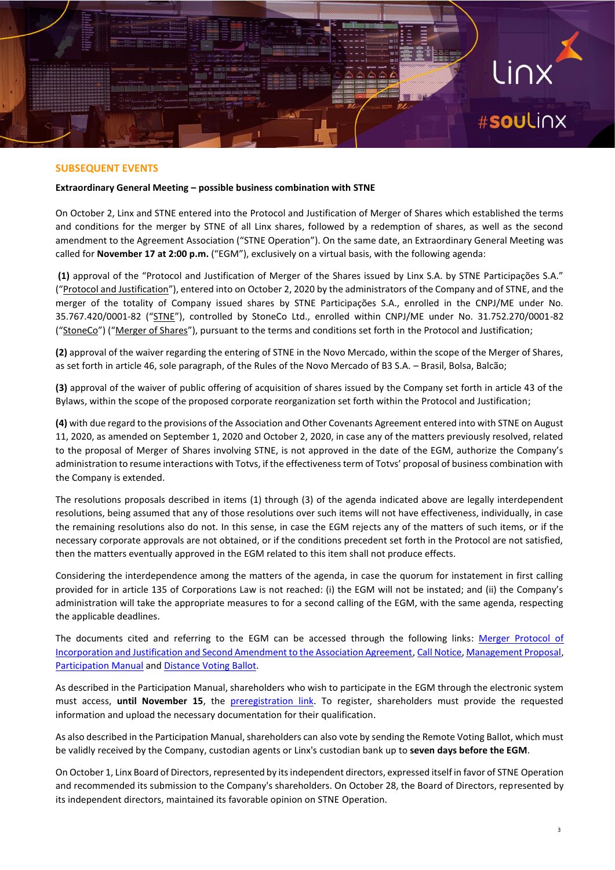#### **SUBSEQUENT EVENTS**

#### **Extraordinary General Meeting – possible business combination with STNE**

On October 2, Linx and STNE entered into the Protocol and Justification of Merger of Shares which established the terms and conditions for the merger by STNE of all Linx shares, followed by a redemption of shares, as well as the second amendment to the Agreement Association ("STNE Operation"). On the same date, an Extraordinary General Meeting was called for **November 17 at 2:00 p.m.** ("EGM"), exclusively on a virtual basis, with the following agenda:

**(1)** approval of the "Protocol and Justification of Merger of the Shares issued by Linx S.A. by STNE Participações S.A." ("Protocol and Justification"), entered into on October 2, 2020 by the administrators of the Company and of STNE, and the merger of the totality of Company issued shares by STNE Participações S.A., enrolled in the CNPJ/ME under No. 35.767.420/0001-82 ("STNE"), controlled by StoneCo Ltd., enrolled within CNPJ/ME under No. 31.752.270/0001-82 ("StoneCo") ("Merger of Shares"), pursuant to the terms and conditions set forth in the Protocol and Justification;

**(2)** approval of the waiver regarding the entering of STNE in the Novo Mercado, within the scope of the Merger of Shares, as set forth in article 46, sole paragraph, of the Rules of the Novo Mercado of B3 S.A. – Brasil, Bolsa, Balcão;

**(3)** approval of the waiver of public offering of acquisition of shares issued by the Company set forth in article 43 of the Bylaws, within the scope of the proposed corporate reorganization set forth within the Protocol and Justification;

**(4)** with due regard to the provisions of the Association and Other Covenants Agreement entered into with STNE on August 11, 2020, as amended on September 1, 2020 and October 2, 2020, in case any of the matters previously resolved, related to the proposal of Merger of Shares involving STNE, is not approved in the date of the EGM, authorize the Company's administration to resume interactions with Totvs, if the effectiveness term of Totvs' proposal of business combination with the Company is extended.

The resolutions proposals described in items (1) through (3) of the agenda indicated above are legally interdependent resolutions, being assumed that any of those resolutions over such items will not have effectiveness, individually, in case the remaining resolutions also do not. In this sense, in case the EGM rejects any of the matters of such items, or if the necessary corporate approvals are not obtained, or if the conditions precedent set forth in the Protocol are not satisfied, then the matters eventually approved in the EGM related to this item shall not produce effects.

Considering the interdependence among the matters of the agenda, in case the quorum for instatement in first calling provided for in article 135 of Corporations Law is not reached: (i) the EGM will not be instated; and (ii) the Company's administration will take the appropriate measures to for a second calling of the EGM, with the same agenda, respecting the applicable deadlines.

The documents cited and referring to the EGM can be accessed through the following links: Merger Protocol of [Incorporation and Justification and Second Amendment to the Association Agreement,](https://api.mziq.com/mzfilemanager/v2/d/0f096bac-7f76-4ace-96d0-af7eab4e55a5/c428ef7a-77f0-93f6-360e-93c25c96b851?origin=1) [Call Notice,](https://api.mziq.com/mzfilemanager/v2/d/0f096bac-7f76-4ace-96d0-af7eab4e55a5/91952d7a-2699-0ad6-5a31-4bf35ffb28e0?origin=1) [Management Proposal,](https://api.mziq.com/mzfilemanager/v2/d/0f096bac-7f76-4ace-96d0-af7eab4e55a5/11e312a0-e779-43d4-2682-a6fc63714ef5?origin=1) [Participation Manual](https://api.mziq.com/mzfilemanager/v2/d/0f096bac-7f76-4ace-96d0-af7eab4e55a5/91e79dd6-01a8-2a34-8311-46ec8e5ac631?origin=1) and [Distance Voting Ballot.](https://api.mziq.com/mzfilemanager/v2/d/0f096bac-7f76-4ace-96d0-af7eab4e55a5/b661f410-74a6-2425-8d56-776720c4a9e9?origin=1)

As described in the Participation Manual, shareholders who wish to participate in the EGM through the electronic system must access, **until November 15**, the [preregistration link.](https://plataforma.alfm.adv.br/ALFM/acionista.wpconsentimento.aspx?CtxW0jdnQS4JAgUx1hIBxU4oe3NwOWxzX/pHXJpYt2rJuL6hNpAkhuK4YT1rspMn.) To register, shareholders must provide the requested information and upload the necessary documentation for their qualification.

As also described in the Participation Manual, shareholders can also vote by sending the Remote Voting Ballot, which must be validly received by the Company, custodian agents or Linx's custodian bank up to **seven days before the EGM**.

On October 1, Linx Board of Directors, represented by its independent directors, expressed itself in favor of STNE Operation and recommended its submission to the Company's shareholders. On October 28, the Board of Directors, represented by its independent directors, maintained its favorable opinion on STNE Operation.

**JINX** 

#soulinx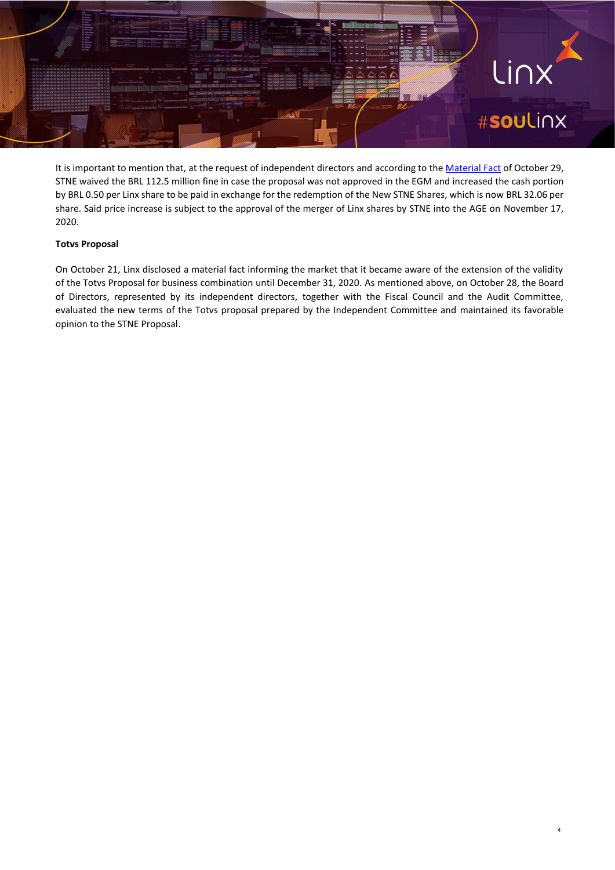

It is important to mention that, at the request of independent directors and according to th[e Material Fact](https://api.mziq.com/mzfilemanager/v2/d/0f096bac-7f76-4ace-96d0-af7eab4e55a5/bf79f9d2-d7d4-04cc-b58b-455d0c006afd?origin=1) of October 29, STNE waived the BRL 112.5 million fine in case the proposal was not approved in the EGM and increased the cash portion by BRL 0.50 per Linx share to be paid in exchange for the redemption of the New STNE Shares, which is now BRL 32.06 per share. Said price increase is subject to the approval of the merger of Linx shares by STNE into the AGE on November 17, 2020.

#### **Totvs Proposal**

On October 21, Linx disclosed a material fact informing the market that it became aware of the extension of the validity of the Totvs Proposal for business combination until December 31, 2020. As mentioned above, on October 28, the Board of Directors, represented by its independent directors, together with the Fiscal Council and the Audit Committee, evaluated the new terms of the Totvs proposal prepared by the Independent Committee and maintained its favorable opinion to the STNE Proposal.

4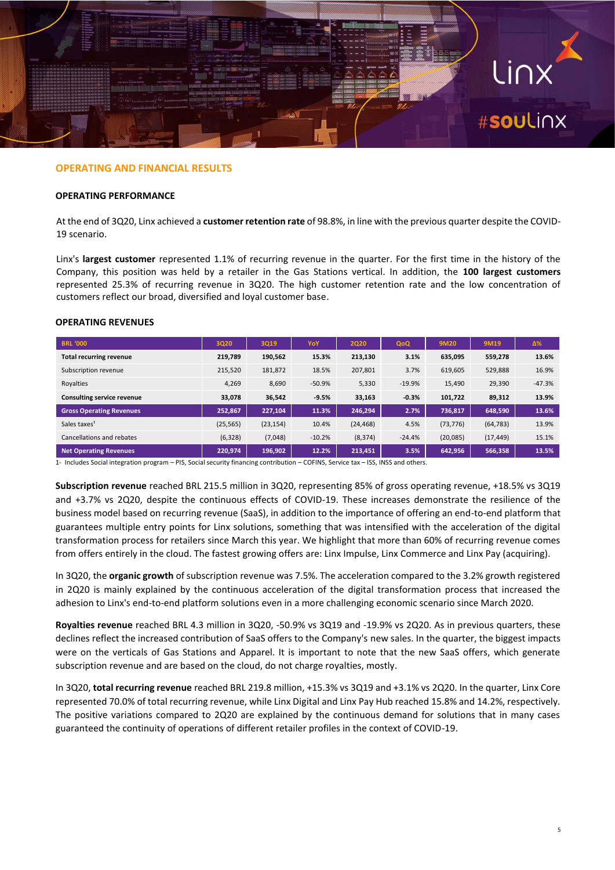

#### **OPERATING AND FINANCIAL RESULTS**

#### **OPERATING PERFORMANCE**

At the end of 3Q20, Linx achieved a **customer retention rate** of 98.8%, in line with the previous quarter despite the COVID-19 scenario.

Linx's **largest customer** represented 1.1% of recurring revenue in the quarter. For the first time in the history of the Company, this position was held by a retailer in the Gas Stations vertical. In addition, the **100 largest customers** represented 25.3% of recurring revenue in 3Q20. The high customer retention rate and the low concentration of customers reflect our broad, diversified and loyal customer base.

#### **OPERATING REVENUES**

| <b>BRL '000</b>                 | 3Q20      | 3Q19      | YoY      | 2Q20      | QoQ      | 9M20      | 9M19      | Δ%       |
|---------------------------------|-----------|-----------|----------|-----------|----------|-----------|-----------|----------|
| <b>Total recurring revenue</b>  | 219,789   | 190,562   | 15.3%    | 213,130   | 3.1%     | 635,095   | 559,278   | 13.6%    |
| Subscription revenue            | 215,520   | 181,872   | 18.5%    | 207,801   | 3.7%     | 619,605   | 529,888   | 16.9%    |
| Royalties                       | 4,269     | 8,690     | $-50.9%$ | 5,330     | $-19.9%$ | 15,490    | 29,390    | $-47.3%$ |
| Consulting service revenue      | 33,078    | 36,542    | $-9.5%$  | 33,163    | $-0.3%$  | 101,722   | 89,312    | 13.9%    |
| <b>Gross Operating Revenues</b> | 252,867   | 227,104   | 11.3%    | 246,294   | 2.7%     | 736,817   | 648,590   | 13.6%    |
| Sales taxes <sup>1</sup>        | (25, 565) | (23, 154) | 10.4%    | (24, 468) | 4.5%     | (73, 776) | (64, 783) | 13.9%    |
| Cancellations and rebates       | (6, 328)  | (7,048)   | $-10.2%$ | (8, 374)  | $-24.4%$ | (20,085)  | (17, 449) | 15.1%    |
| <b>Net Operating Revenues</b>   | 220.974   | 196,902   | 12.2%    | 213.451   | 3.5%     | 642,956   | 566,358   | 13.5%    |

1- Includes Social integration program – PIS, Social security financing contribution – COFINS, Service tax – ISS, INSS and others.

**Subscription revenue** reached BRL 215.5 million in 3Q20, representing 85% of gross operating revenue, +18.5% vs 3Q19 and +3.7% vs 2Q20, despite the continuous effects of COVID-19. These increases demonstrate the resilience of the business model based on recurring revenue (SaaS), in addition to the importance of offering an end-to-end platform that guarantees multiple entry points for Linx solutions, something that was intensified with the acceleration of the digital transformation process for retailers since March this year. We highlight that more than 60% of recurring revenue comes from offers entirely in the cloud. The fastest growing offers are: Linx Impulse, Linx Commerce and Linx Pay (acquiring).

In 3Q20, the **organic growth** of subscription revenue was 7.5%. The acceleration compared to the 3.2% growth registered in 2Q20 is mainly explained by the continuous acceleration of the digital transformation process that increased the adhesion to Linx's end-to-end platform solutions even in a more challenging economic scenario since March 2020.

**Royalties revenue** reached BRL 4.3 million in 3Q20, -50.9% vs 3Q19 and -19.9% vs 2Q20. As in previous quarters, these declines reflect the increased contribution of SaaS offers to the Company's new sales. In the quarter, the biggest impacts were on the verticals of Gas Stations and Apparel. It is important to note that the new SaaS offers, which generate subscription revenue and are based on the cloud, do not charge royalties, mostly.

In 3Q20, **total recurring revenue** reached BRL 219.8 million, +15.3% vs 3Q19 and +3.1% vs 2Q20. In the quarter, Linx Core represented 70.0% of total recurring revenue, while Linx Digital and Linx Pay Hub reached 15.8% and 14.2%, respectively. The positive variations compared to 2Q20 are explained by the continuous demand for solutions that in many cases guaranteed the continuity of operations of different retailer profiles in the context of COVID-19.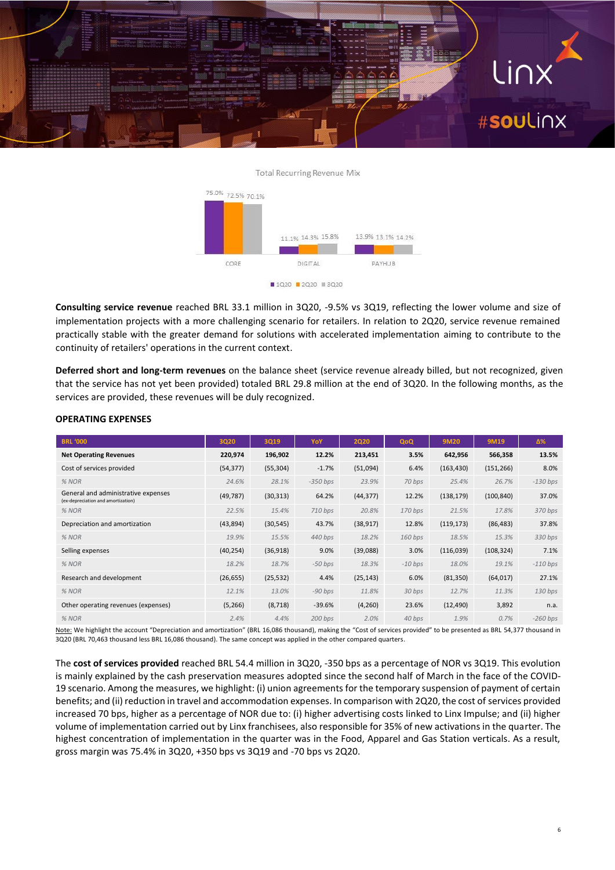

#### **Total Recurring Revenue Mix**



**Consulting service revenue** reached BRL 33.1 million in 3Q20, -9.5% vs 3Q19, reflecting the lower volume and size of implementation projects with a more challenging scenario for retailers. In relation to 2Q20, service revenue remained practically stable with the greater demand for solutions with accelerated implementation aiming to contribute to the continuity of retailers' operations in the current context.

**Deferred short and long-term revenues** on the balance sheet (service revenue already billed, but not recognized, given that the service has not yet been provided) totaled BRL 29.8 million at the end of 3Q20. In the following months, as the services are provided, these revenues will be duly recognized.

| <b>BRL '000</b>                                                           | 3Q20      | 3Q19      | YoY        | <b>2Q20</b> | QoQ       | 9M20       | 9M19       | $\Delta\%$ |
|---------------------------------------------------------------------------|-----------|-----------|------------|-------------|-----------|------------|------------|------------|
| <b>Net Operating Revenues</b>                                             | 220,974   | 196,902   | 12.2%      | 213,451     | 3.5%      | 642,956    | 566,358    | 13.5%      |
| Cost of services provided                                                 | (54, 377) | (55, 304) | $-1.7%$    | (51,094)    | 6.4%      | (163, 430) | (151, 266) | 8.0%       |
| % NOR                                                                     | 24.6%     | 28.1%     | $-350$ bps | 23.9%       | 70 bps    | 25.4%      | 26.7%      | $-130$ bps |
| General and administrative expenses<br>(ex-depreciation and amortization) | (49, 787) | (30, 313) | 64.2%      | (44, 377)   | 12.2%     | (138, 179) | (100, 840) | 37.0%      |
| % NOR                                                                     | 22.5%     | 15.4%     | $710$ bps  | 20.8%       | $170$ bps | 21.5%      | 17.8%      | 370 bps    |
| Depreciation and amortization                                             | (43, 894) | (30, 545) | 43.7%      | (38, 917)   | 12.8%     | (119, 173) | (86, 483)  | 37.8%      |
| % NOR                                                                     | 19.9%     | 15.5%     | 440 bps    | 18.2%       | $160$ bps | 18.5%      | 15.3%      | 330 bps    |
| Selling expenses                                                          | (40, 254) | (36,918)  | 9.0%       | (39,088)    | 3.0%      | (116,039)  | (108, 324) | 7.1%       |
| % NOR                                                                     | 18.2%     | 18.7%     | $-50$ bps  | 18.3%       | $-10$ bps | 18.0%      | 19.1%      | $-110$ bps |
| Research and development                                                  | (26, 655) | (25, 532) | 4.4%       | (25, 143)   | 6.0%      | (81, 350)  | (64, 017)  | 27.1%      |
| % NOR                                                                     | 12.1%     | 13.0%     | $-90$ bps  | 11.8%       | 30 bps    | 12.7%      | 11.3%      | $130$ bps  |
| Other operating revenues (expenses)                                       | (5, 266)  | (8, 718)  | $-39.6%$   | (4, 260)    | 23.6%     | (12, 490)  | 3,892      | n.a.       |
| % NOR                                                                     | 2.4%      | 4.4%      | 200 bps    | 2.0%        | 40 bps    | 1.9%       | 0.7%       | $-260$ bps |

#### **OPERATING EXPENSES**

Note: We highlight the account "Depreciation and amortization" (BRL 16,086 thousand), making the "Cost of services provided" to be presented as BRL 54,377 thousand in 3Q20 (BRL 70,463 thousand less BRL 16,086 thousand). The same concept was applied in the other compared quarters.

The **cost of services provided** reached BRL 54.4 million in 3Q20, -350 bps as a percentage of NOR vs 3Q19. This evolution is mainly explained by the cash preservation measures adopted since the second half of March in the face of the COVID-19 scenario. Among the measures, we highlight: (i) union agreements for the temporary suspension of payment of certain benefits; and (ii) reduction in travel and accommodation expenses. In comparison with 2Q20, the cost of services provided increased 70 bps, higher as a percentage of NOR due to: (i) higher advertising costs linked to Linx Impulse; and (ii) higher volume of implementation carried out by Linx franchisees, also responsible for 35% of new activations in the quarter. The highest concentration of implementation in the quarter was in the Food, Apparel and Gas Station verticals. As a result, gross margin was 75.4% in 3Q20, +350 bps vs 3Q19 and -70 bps vs 2Q20.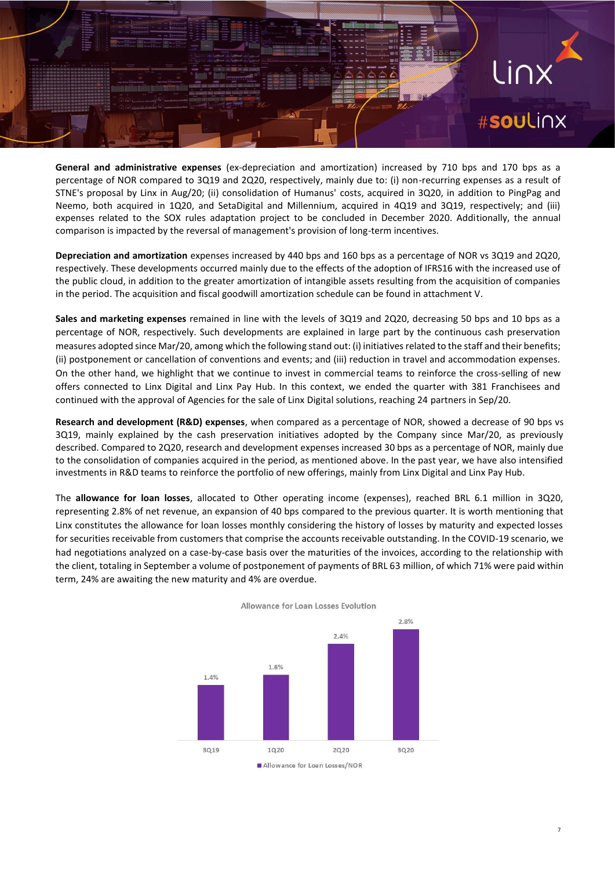## #**sou**Linx

.inx

**General and administrative expenses** (ex-depreciation and amortization) increased by 710 bps and 170 bps as a percentage of NOR compared to 3Q19 and 2Q20, respectively, mainly due to: (i) non-recurring expenses as a result of STNE's proposal by Linx in Aug/20; (ii) consolidation of Humanus' costs, acquired in 3Q20, in addition to PingPag and Neemo, both acquired in 1Q20, and SetaDigital and Millennium, acquired in 4Q19 and 3Q19, respectively; and (iii) expenses related to the SOX rules adaptation project to be concluded in December 2020. Additionally, the annual comparison is impacted by the reversal of management's provision of long-term incentives.

**Depreciation and amortization** expenses increased by 440 bps and 160 bps as a percentage of NOR vs 3Q19 and 2Q20, respectively. These developments occurred mainly due to the effects of the adoption of IFRS16 with the increased use of the public cloud, in addition to the greater amortization of intangible assets resulting from the acquisition of companies in the period. The acquisition and fiscal goodwill amortization schedule can be found in attachment V.

**Sales and marketing expenses** remained in line with the levels of 3Q19 and 2Q20, decreasing 50 bps and 10 bps as a percentage of NOR, respectively. Such developments are explained in large part by the continuous cash preservation measures adopted since Mar/20, among which the following stand out: (i) initiatives related to the staff and their benefits; (ii) postponement or cancellation of conventions and events; and (iii) reduction in travel and accommodation expenses. On the other hand, we highlight that we continue to invest in commercial teams to reinforce the cross-selling of new offers connected to Linx Digital and Linx Pay Hub. In this context, we ended the quarter with 381 Franchisees and continued with the approval of Agencies for the sale of Linx Digital solutions, reaching 24 partners in Sep/20.

**Research and development (R&D) expenses**, when compared as a percentage of NOR, showed a decrease of 90 bps vs 3Q19, mainly explained by the cash preservation initiatives adopted by the Company since Mar/20, as previously described. Compared to 2Q20, research and development expenses increased 30 bps as a percentage of NOR, mainly due to the consolidation of companies acquired in the period, as mentioned above. In the past year, we have also intensified investments in R&D teams to reinforce the portfolio of new offerings, mainly from Linx Digital and Linx Pay Hub.

The **allowance for loan losses**, allocated to Other operating income (expenses), reached BRL 6.1 million in 3Q20, representing 2.8% of net revenue, an expansion of 40 bps compared to the previous quarter. It is worth mentioning that Linx constitutes the allowance for loan losses monthly considering the history of losses by maturity and expected losses for securities receivable from customers that comprise the accounts receivable outstanding. In the COVID-19 scenario, we had negotiations analyzed on a case-by-case basis over the maturities of the invoices, according to the relationship with the client, totaling in September a volume of postponement of payments of BRL 63 million, of which 71% were paid within term, 24% are awaiting the new maturity and 4% are overdue.



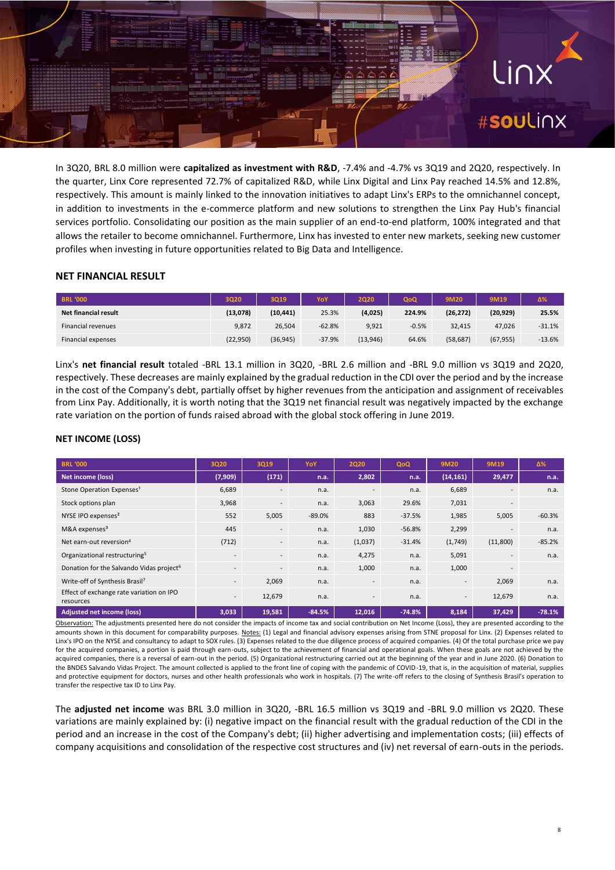### Linx #soulinx

In 3Q20, BRL 8.0 million were **capitalized as investment with R&D**, -7.4% and -4.7% vs 3Q19 and 2Q20, respectively. In the quarter, Linx Core represented 72.7% of capitalized R&D, while Linx Digital and Linx Pay reached 14.5% and 12.8%, respectively. This amount is mainly linked to the innovation initiatives to adapt Linx's ERPs to the omnichannel concept, in addition to investments in the e-commerce platform and new solutions to strengthen the Linx Pay Hub's financial services portfolio. Consolidating our position as the main supplier of an end-to-end platform, 100% integrated and that allows the retailer to become omnichannel. Furthermore, Linx has invested to enter new markets, seeking new customer profiles when investing in future opportunities related to Big Data and Intelligence.

#### **NET FINANCIAL RESULT**

| <b>BRL '000</b>           | 3Q20      | 3019      | YoY      | 2020     | QoQ     | 9M20      | 9M19      | Δ%       |
|---------------------------|-----------|-----------|----------|----------|---------|-----------|-----------|----------|
| Net financial result      | (13,078)  | (10, 441) | 25.3%    | (4,025)  | 224.9%  | (26, 272) | (20, 929) | 25.5%    |
| <b>Financial revenues</b> | 9.872     | 26.504    | $-62.8%$ | 9,921    | $-0.5%$ | 32.415    | 47.026    | $-31.1%$ |
| Financial expenses        | (22, 950) | (36, 945) | $-37.9%$ | (13,946) | 64.6%   | (58, 687) | (67, 955) | $-13.6%$ |

Linx's **net financial result** totaled -BRL 13.1 million in 3Q20, -BRL 2.6 million and -BRL 9.0 million vs 3Q19 and 2Q20, respectively. These decreases are mainly explained by the gradual reduction in the CDI over the period and by the increase in the cost of the Company's debt, partially offset by higher revenues from the anticipation and assignment of receivables from Linx Pay. Additionally, it is worth noting that the 3Q19 net financial result was negatively impacted by the exchange rate variation on the portion of funds raised abroad with the global stock offering in June 2019.

#### **NET INCOME (LOSS)**

| <b>BRL '000</b>                                       | 3Q20    | 3Q19                     | YoY      | <b>2Q20</b>              | QoQ      | <b>9M20</b>              | 9M19     | Δ%       |
|-------------------------------------------------------|---------|--------------------------|----------|--------------------------|----------|--------------------------|----------|----------|
| Net income (loss)                                     | (7,909) | (171)                    | n.a.     | 2,802                    | n.a.     | (14, 161)                | 29,477   | n.a.     |
| Stone Operation Expenses <sup>1</sup>                 | 6,689   | $\overline{\phantom{a}}$ | n.a.     | $\overline{a}$           | n.a.     | 6,689                    | ۰        | n.a.     |
| Stock options plan                                    | 3,968   | $\overline{\phantom{a}}$ | n.a.     | 3,063                    | 29.6%    | 7,031                    |          |          |
| NYSE IPO expenses <sup>2</sup>                        | 552     | 5,005                    | $-89.0%$ | 883                      | $-37.5%$ | 1,985                    | 5,005    | $-60.3%$ |
| M&A expenses <sup>3</sup>                             | 445     | $\overline{\phantom{a}}$ | n.a.     | 1,030                    | $-56.8%$ | 2,299                    | ۰        | n.a.     |
| Net earn-out reversion <sup>4</sup>                   | (712)   | $\overline{\phantom{a}}$ | n.a.     | (1,037)                  | $-31.4%$ | (1,749)                  | (11,800) | $-85.2%$ |
| Organizational restructuring <sup>5</sup>             | $\sim$  | $\overline{\phantom{a}}$ | n.a.     | 4,275                    | n.a.     | 5,091                    | ۰.       | n.a.     |
| Donation for the Salvando Vidas project <sup>6</sup>  | $\sim$  | $\overline{\phantom{a}}$ | n.a.     | 1,000                    | n.a.     | 1,000                    | ٠        |          |
| Write-off of Synthesis Brasil <sup>7</sup>            | $\sim$  | 2,069                    | n.a.     | $\overline{\phantom{a}}$ | n.a.     | $\overline{\phantom{a}}$ | 2,069    | n.a.     |
| Effect of exchange rate variation on IPO<br>resources | ۰.      | 12,679                   | n.a.     | $\overline{a}$           | n.a.     | $\overline{\phantom{a}}$ | 12,679   | n.a.     |
| Adjusted net income (loss)                            | 3,033   | 19,581                   | $-84.5%$ | 12,016                   | $-74.8%$ | 8,184                    | 37,429   | $-78.1%$ |

Observation: The adjustments presented here do not consider the impacts of income tax and social contribution on Net Income (Loss), they are presented according to the amounts shown in this document for comparability purposes. Notes: (1) Legal and financial advisory expenses arising from STNE proposal for Linx. (2) Expenses related to Linx's IPO on the NYSE and consultancy to adapt to SOX rules. (3) Expenses related to the due diligence process of acquired companies. (4) Of the total purchase price we pay for the acquired companies, a portion is paid through earn-outs, subject to the achievement of financial and operational goals. When these goals are not achieved by the acquired companies, there is a reversal of earn-out in the period. (5) Organizational restructuring carried out at the beginning of the year and in June 2020. (6) Donation to the BNDES Salvando Vidas Project. The amount collected is applied to the front line of coping with the pandemic of COVID-19, that is, in the acquisition of material, supplies and protective equipment for doctors, nurses and other health professionals who work in hospitals. (7) The write-off refers to the closing of Synthesis Brasil's operation to transfer the respective tax ID to Linx Pay.

The **adjusted net income** was BRL 3.0 million in 3Q20, -BRL 16.5 million vs 3Q19 and -BRL 9.0 million vs 2Q20. These variations are mainly explained by: (i) negative impact on the financial result with the gradual reduction of the CDI in the period and an increase in the cost of the Company's debt; (ii) higher advertising and implementation costs; (iii) effects of company acquisitions and consolidation of the respective cost structures and (iv) net reversal of earn-outs in the periods.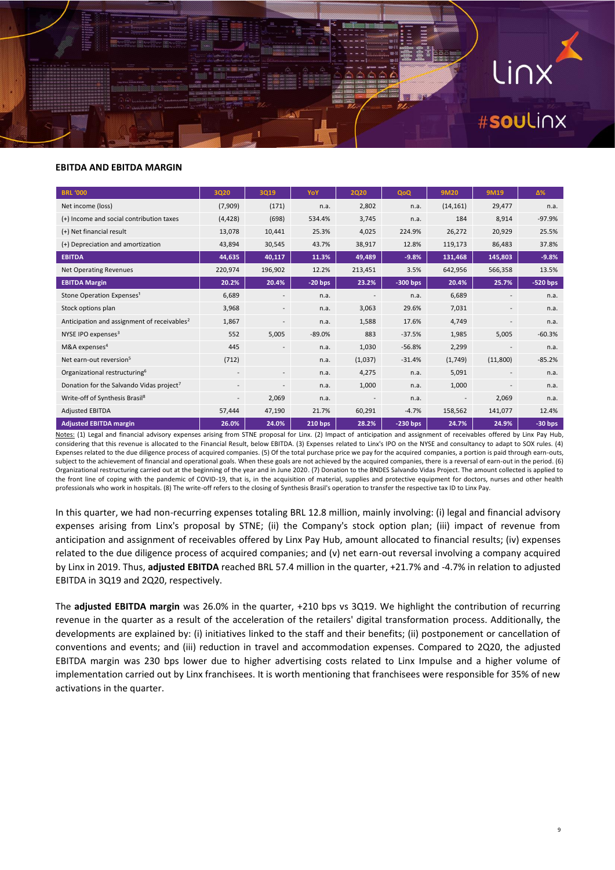

#### **EBITDA AND EBITDA MARGIN**

| <b>BRL '000</b>                                         | <b>3Q20</b>              | 3Q19                     | YoY       | <b>2Q20</b>              | QoQ        | <b>9M20</b>              | 9M19                     | Δ%         |
|---------------------------------------------------------|--------------------------|--------------------------|-----------|--------------------------|------------|--------------------------|--------------------------|------------|
| Net income (loss)                                       | (7,909)                  | (171)                    | n.a.      | 2,802                    | n.a.       | (14, 161)                | 29,477                   | n.a.       |
| (+) Income and social contribution taxes                | (4, 428)                 | (698)                    | 534.4%    | 3,745                    | n.a.       | 184                      | 8,914                    | $-97.9%$   |
| (+) Net financial result                                | 13,078                   | 10,441                   | 25.3%     | 4,025                    | 224.9%     | 26,272                   | 20,929                   | 25.5%      |
| (+) Depreciation and amortization                       | 43,894                   | 30,545                   | 43.7%     | 38,917                   | 12.8%      | 119,173                  | 86,483                   | 37.8%      |
| <b>EBITDA</b>                                           | 44,635                   | 40,117                   | 11.3%     | 49,489                   | $-9.8%$    | 131,468                  | 145,803                  | $-9.8%$    |
| <b>Net Operating Revenues</b>                           | 220,974                  | 196,902                  | 12.2%     | 213,451                  | 3.5%       | 642,956                  | 566,358                  | 13.5%      |
| <b>EBITDA Margin</b>                                    | 20.2%                    | 20.4%                    | $-20$ bps | 23.2%                    | $-300$ bps | 20.4%                    | 25.7%                    | $-520$ bps |
| Stone Operation Expenses <sup>1</sup>                   | 6,689                    |                          | n.a.      |                          | n.a.       | 6,689                    |                          | n.a.       |
| Stock options plan                                      | 3,968                    | $\overline{\phantom{a}}$ | n.a.      | 3,063                    | 29.6%      | 7,031                    | $\overline{\phantom{a}}$ | n.a.       |
| Anticipation and assignment of receivables <sup>2</sup> | 1,867                    |                          | n.a.      | 1,588                    | 17.6%      | 4,749                    | $\overline{\phantom{a}}$ | n.a.       |
| NYSE IPO expenses <sup>3</sup>                          | 552                      | 5,005                    | $-89.0%$  | 883                      | $-37.5%$   | 1,985                    | 5,005                    | $-60.3%$   |
| M&A expenses <sup>4</sup>                               | 445                      |                          | n.a.      | 1,030                    | $-56.8%$   | 2,299                    |                          | n.a.       |
| Net earn-out reversion <sup>5</sup>                     | (712)                    |                          | n.a.      | (1,037)                  | $-31.4%$   | (1,749)                  | (11,800)                 | $-85.2%$   |
| Organizational restructuring <sup>6</sup>               | $\overline{\phantom{a}}$ | $\overline{\phantom{a}}$ | n.a.      | 4,275                    | n.a.       | 5,091                    | $\overline{\phantom{a}}$ | n.a.       |
| Donation for the Salvando Vidas project <sup>7</sup>    | $\overline{\phantom{a}}$ |                          | n.a.      | 1,000                    | n.a.       | 1,000                    |                          | n.a.       |
| Write-off of Synthesis Brasil <sup>8</sup>              | ٠.                       | 2,069                    | n.a.      | $\overline{\phantom{a}}$ | n.a.       | $\overline{\phantom{a}}$ | 2,069                    | n.a.       |
| <b>Adjusted EBITDA</b>                                  | 57,444                   | 47,190                   | 21.7%     | 60,291                   | $-4.7%$    | 158,562                  | 141,077                  | 12.4%      |
| <b>Adjusted EBITDA margin</b>                           | 26.0%                    | 24.0%                    | 210 bps   | 28.2%                    | $-230$ bps | 24.7%                    | 24.9%                    | $-30$ bps  |

Notes: (1) Legal and financial advisory expenses arising from STNE proposal for Linx. (2) Impact of anticipation and assignment of receivables offered by Linx Pay Hub, considering that this revenue is allocated to the Financial Result, below EBITDA. (3) Expenses related to Linx's IPO on the NYSE and consultancy to adapt to SOX rules. (4) Expenses related to the due diligence process of acquired companies. (5) Of the total purchase price we pay for the acquired companies, a portion is paid through earn-outs, subject to the achievement of financial and operational goals. When these goals are not achieved by the acquired companies, there is a reversal of earn-out in the period. (6) Organizational restructuring carried out at the beginning of the year and in June 2020. (7) Donation to the BNDES Salvando Vidas Project. The amount collected is applied to the front line of coping with the pandemic of COVID-19, that is, in the acquisition of material, supplies and protective equipment for doctors, nurses and other health professionals who work in hospitals. (8) The write-off refers to the closing of Synthesis Brasil's operation to transfer the respective tax ID to Linx Pay.

In this quarter, we had non-recurring expenses totaling BRL 12.8 million, mainly involving: (i) legal and financial advisory expenses arising from Linx's proposal by STNE; (ii) the Company's stock option plan; (iii) impact of revenue from anticipation and assignment of receivables offered by Linx Pay Hub, amount allocated to financial results; (iv) expenses related to the due diligence process of acquired companies; and (v) net earn-out reversal involving a company acquired by Linx in 2019. Thus, **adjusted EBITDA** reached BRL 57.4 million in the quarter, +21.7% and -4.7% in relation to adjusted EBITDA in 3Q19 and 2Q20, respectively.

The **adjusted EBITDA margin** was 26.0% in the quarter, +210 bps vs 3Q19. We highlight the contribution of recurring revenue in the quarter as a result of the acceleration of the retailers' digital transformation process. Additionally, the developments are explained by: (i) initiatives linked to the staff and their benefits; (ii) postponement or cancellation of conventions and events; and (iii) reduction in travel and accommodation expenses. Compared to 2Q20, the adjusted EBITDA margin was 230 bps lower due to higher advertising costs related to Linx Impulse and a higher volume of implementation carried out by Linx franchisees. It is worth mentioning that franchisees were responsible for 35% of new activations in the quarter.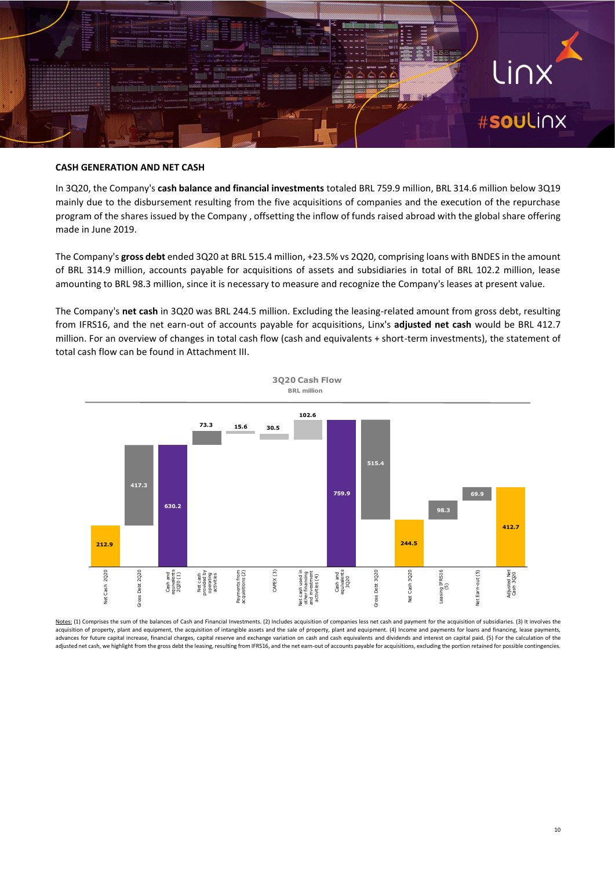## Linx<sup>-</sup> #**sou**Linx

#### **CASH GENERATION AND NET CASH**

In 3Q20, the Company's **cash balance and financial investments** totaled BRL 759.9 million, BRL 314.6 million below 3Q19 mainly due to the disbursement resulting from the five acquisitions of companies and the execution of the repurchase program of the shares issued by the Company , offsetting the inflow of funds raised abroad with the global share offering made in June 2019.

The Company's **gross debt** ended 3Q20 at BRL 515.4 million, +23.5% vs 2Q20, comprising loans with BNDES in the amount of BRL 314.9 million, accounts payable for acquisitions of assets and subsidiaries in total of BRL 102.2 million, lease amounting to BRL 98.3 million, since it is necessary to measure and recognize the Company's leases at present value.

The Company's **net cash** in 3Q20 was BRL 244.5 million. Excluding the leasing-related amount from gross debt, resulting from IFRS16, and the net earn-out of accounts payable for acquisitions, Linx's **adjusted net cash** would be BRL 412.7 million. For an overview of changes in total cash flow (cash and equivalents + short-term investments), the statement of total cash flow can be found in Attachment III.



Notes: (1) Comprises the sum of the balances of Cash and Financial Investments. (2) Includes acquisition of companies less net cash and payment for the acquisition of subsidiaries. (3) It involves the acquisition of property, plant and equipment, the acquisition of intangible assets and the sale of property, plant and equipment. (4) Income and payments for loans and financing, lease payments, advances for future capital increase, financial charges, capital reserve and exchange variation on cash and cash equivalents and dividends and interest on capital paid. (5) For the calculation of the adjusted net cash, we highlight from the gross debt the leasing, resulting from IFRS16, and the net earn-out of accounts payable for acquisitions, excluding the portion retained for possible contingencies.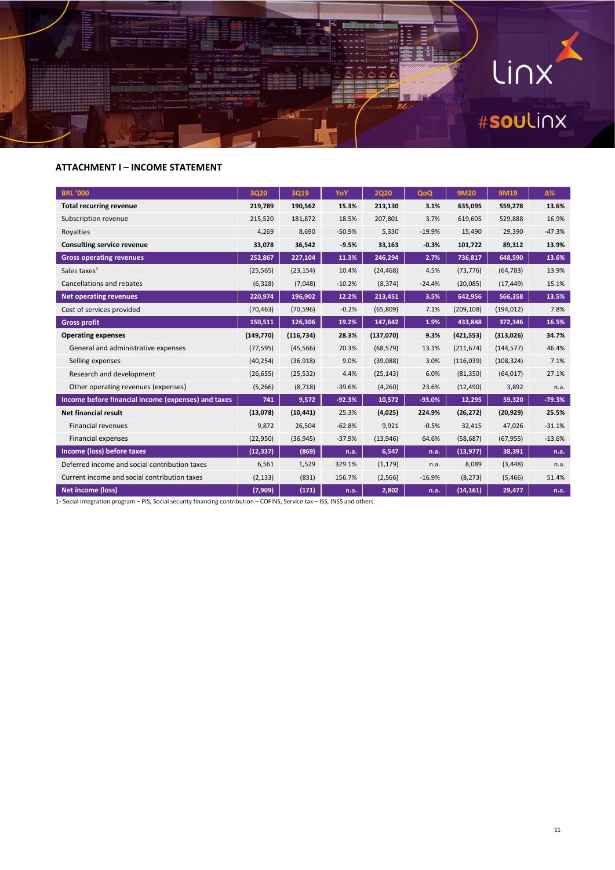

#### **ATTACHMENT I – INCOME STATEMENT**

| <b>BRL '000</b>                                     | <b>3Q20</b> | <b>3Q19</b> | YoY      | <b>2Q20</b> | QoQ      | <b>9M20</b> | <b>9M19</b> | Δ%       |
|-----------------------------------------------------|-------------|-------------|----------|-------------|----------|-------------|-------------|----------|
| <b>Total recurring revenue</b>                      | 219,789     | 190,562     | 15.3%    | 213,130     | 3.1%     | 635,095     | 559,278     | 13.6%    |
| Subscription revenue                                | 215,520     | 181,872     | 18.5%    | 207,801     | 3.7%     | 619,605     | 529,888     | 16.9%    |
| Royalties                                           | 4,269       | 8,690       | $-50.9%$ | 5,330       | $-19.9%$ | 15,490      | 29,390      | $-47.3%$ |
| <b>Consulting service revenue</b>                   | 33,078      | 36,542      | $-9.5%$  | 33,163      | $-0.3%$  | 101,722     | 89,312      | 13.9%    |
| <b>Gross operating revenues</b>                     | 252,867     | 227,104     | 11.3%    | 246,294     | 2.7%     | 736,817     | 648,590     | 13.6%    |
| Sales taxes <sup>1</sup>                            | (25, 565)   | (23, 154)   | 10.4%    | (24, 468)   | 4.5%     | (73, 776)   | (64, 783)   | 13.9%    |
| Cancellations and rebates                           | (6, 328)    | (7,048)     | $-10.2%$ | (8, 374)    | $-24.4%$ | (20,085)    | (17, 449)   | 15.1%    |
| <b>Net operating revenues</b>                       | 220,974     | 196,902     | 12.2%    | 213,451     | 3.5%     | 642,956     | 566,358     | 13.5%    |
| Cost of services provided                           | (70, 463)   | (70, 596)   | $-0.2%$  | (65, 809)   | 7.1%     | (209, 108)  | (194, 012)  | 7.8%     |
| <b>Gross profit</b>                                 | 150,511     | 126,306     | 19.2%    | 147,642     | 1.9%     | 433,848     | 372,346     | 16.5%    |
| <b>Operating expenses</b>                           | (149, 770)  | (116, 734)  | 28.3%    | (137,070)   | 9.3%     | (421, 553)  | (313, 026)  | 34.7%    |
| General and administrative expenses                 | (77, 595)   | (45, 566)   | 70.3%    | (68, 579)   | 13.1%    | (211, 674)  | (144, 577)  | 46.4%    |
| Selling expenses                                    | (40, 254)   | (36,918)    | 9.0%     | (39,088)    | 3.0%     | (116,039)   | (108, 324)  | 7.1%     |
| Research and development                            | (26, 655)   | (25, 532)   | 4.4%     | (25, 143)   | 6.0%     | (81, 350)   | (64, 017)   | 27.1%    |
| Other operating revenues (expenses)                 | (5,266)     | (8, 718)    | $-39.6%$ | (4, 260)    | 23.6%    | (12, 490)   | 3,892       | n.a.     |
| Income before financial income (expenses) and taxes | 741         | 9,572       | $-92.3%$ | 10,572      | $-93.0%$ | 12,295      | 59,320      | $-79.3%$ |
| <b>Net financial result</b>                         | (13,078)    | (10, 441)   | 25.3%    | (4,025)     | 224.9%   | (26, 272)   | (20, 929)   | 25.5%    |
| <b>Financial revenues</b>                           | 9,872       | 26,504      | $-62.8%$ | 9,921       | $-0.5%$  | 32,415      | 47,026      | $-31.1%$ |
| <b>Financial expenses</b>                           | (22,950)    | (36, 945)   | $-37.9%$ | (13,946)    | 64.6%    | (58, 687)   | (67, 955)   | $-13.6%$ |
| Income (loss) before taxes                          | (12, 337)   | (869)       | n.a.     | 6,547       | n.a.     | (13, 977)   | 38,391      | n.a.     |
| Deferred income and social contribution taxes       | 6,561       | 1,529       | 329.1%   | (1, 179)    | n.a.     | 8,089       | (3, 448)    | n.a.     |
| Current income and social contribution taxes        | (2, 133)    | (831)       | 156.7%   | (2, 566)    | $-16.9%$ | (8, 273)    | (5, 466)    | 51.4%    |
| Net income (loss)                                   | (7,909)     | (171)       | n.a.     | 2,802       | n.a.     | (14, 161)   | 29,477      | n.a.     |

1- Social integration program – PIS, Social security financing contribution – COFINS, Service tax – ISS, INSS and others.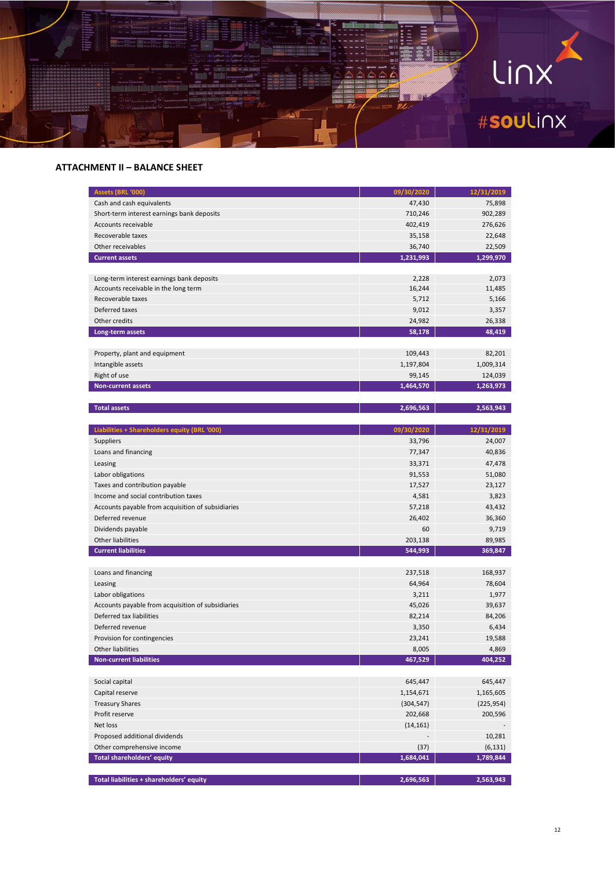

#### **ATTACHMENT II – BALANCE SHEET**

| Assets (BRL '000)                                 | 09/30/2020 | 12/31/2019 |
|---------------------------------------------------|------------|------------|
| Cash and cash equivalents                         | 47,430     | 75,898     |
| Short-term interest earnings bank deposits        | 710,246    | 902,289    |
| Accounts receivable                               | 402,419    | 276,626    |
| Recoverable taxes                                 | 35,158     | 22,648     |
| Other receivables                                 | 36,740     | 22,509     |
| <b>Current assets</b>                             | 1,231,993  | 1,299,970  |
|                                                   |            |            |
| Long-term interest earnings bank deposits         | 2,228      | 2,073      |
| Accounts receivable in the long term              | 16,244     | 11,485     |
| Recoverable taxes                                 | 5,712      | 5,166      |
| Deferred taxes                                    | 9,012      | 3,357      |
| Other credits                                     | 24,982     | 26,338     |
| Long-term assets                                  | 58,178     | 48,419     |
|                                                   |            |            |
| Property, plant and equipment                     | 109,443    | 82,201     |
| Intangible assets                                 | 1,197,804  | 1,009,314  |
| Right of use                                      | 99,145     | 124,039    |
| <b>Non-current assets</b>                         | 1,464,570  | 1,263,973  |
|                                                   |            |            |
| <b>Total assets</b>                               | 2,696,563  | 2,563,943  |
|                                                   |            |            |
| Liabilities + Shareholders equity (BRL '000)      | 09/30/2020 | 12/31/2019 |
| <b>Suppliers</b>                                  | 33,796     | 24,007     |
| Loans and financing                               | 77,347     | 40,836     |
| Leasing                                           | 33,371     | 47,478     |
| Labor obligations                                 | 91,553     | 51,080     |
| Taxes and contribution payable                    | 17,527     | 23,127     |
| Income and social contribution taxes              | 4,581      | 3,823      |
| Accounts payable from acquisition of subsidiaries | 57,218     | 43,432     |
| Deferred revenue                                  | 26,402     | 36,360     |
| Dividends payable                                 | 60         | 9,719      |
| <b>Other liabilities</b>                          | 203,138    | 89,985     |
| <b>Current liabilities</b>                        | 544,993    | 369,847    |
|                                                   |            |            |
| Loans and financing                               | 237,518    | 168,937    |
| Leasing                                           | 64,964     | 78,604     |
| Labor obligations                                 | 3,211      | 1,977      |
| Accounts payable from acquisition of subsidiaries | 45,026     | 39,637     |
| Deferred tax liabilities                          | 82,214     | 84,206     |
| Deferred revenue                                  | 3,350      | 6,434      |
| Provision for contingencies                       | 23,241     | 19,588     |
| Other liabilities                                 | 8,005      | 4,869      |
| <b>Non-current liabilities</b>                    | 467,529    | 404,252    |
|                                                   |            |            |
| Social capital                                    | 645,447    | 645,447    |
| Capital reserve                                   | 1,154,671  | 1,165,605  |
| <b>Treasury Shares</b>                            | (304, 547) | (225, 954) |
| Profit reserve                                    | 202,668    | 200,596    |
| Net loss                                          | (14, 161)  |            |
| Proposed additional dividends                     |            | 10,281     |
| Other comprehensive income                        | (37)       | (6, 131)   |
| <b>Total shareholders' equity</b>                 | 1,684,041  | 1,789,844  |
|                                                   |            |            |
| Total liabilities + shareholders' equity          | 2,696,563  | 2,563,943  |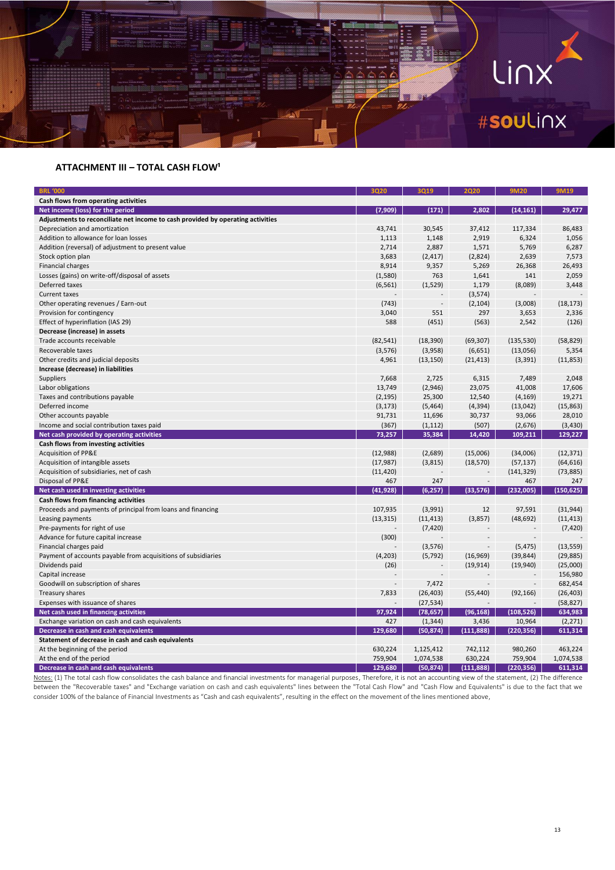

#### **ATTACHMENT III - TOTAL CASH FLOW<sup>1</sup>**

| <b>BRL '000</b>                                                                 | 3020      | 3019                     | 2020           | 9M20       | 9M19       |
|---------------------------------------------------------------------------------|-----------|--------------------------|----------------|------------|------------|
| Cash flows from operating activities                                            |           |                          |                |            |            |
| Net income (loss) for the period                                                | (7, 909)  | (171)                    | 2.802          | (14, 161)  | 29,477     |
| Adjustments to reconciliate net income to cash provided by operating activities |           |                          |                |            |            |
| Depreciation and amortization                                                   | 43,741    | 30,545                   | 37,412         | 117,334    | 86,483     |
| Addition to allowance for loan losses                                           | 1,113     | 1,148                    | 2,919          | 6,324      | 1,056      |
| Addition (reversal) of adjustment to present value                              | 2,714     | 2,887                    | 1,571          | 5,769      | 6,287      |
| Stock option plan                                                               | 3,683     | (2, 417)                 | (2,824)        | 2,639      | 7,573      |
| <b>Financial charges</b>                                                        | 8,914     | 9,357                    | 5,269          | 26,368     | 26,493     |
| Losses (gains) on write-off/disposal of assets                                  | (1,580)   | 763                      | 1,641          | 141        | 2,059      |
| Deferred taxes                                                                  | (6, 561)  | (1,529)                  | 1,179          | (8,089)    | 3,448      |
| <b>Current taxes</b>                                                            |           |                          | (3, 574)       |            |            |
| Other operating revenues / Earn-out                                             | (743)     | $\overline{\phantom{a}}$ | (2, 104)       | (3,008)    | (18, 173)  |
| Provision for contingency                                                       | 3,040     | 551                      | 297            | 3,653      | 2,336      |
| Effect of hyperinflation (IAS 29)                                               | 588       | (451)                    | (563)          | 2,542      | (126)      |
| Decrease (increase) in assets                                                   |           |                          |                |            |            |
| Trade accounts receivable                                                       | (82, 541) | (18, 390)                | (69, 307)      | (135, 530) | (58, 829)  |
| Recoverable taxes                                                               | (3,576)   | (3,958)                  | (6, 651)       | (13,056)   | 5,354      |
| Other credits and judicial deposits                                             | 4,961     | (13, 150)                | (21, 413)      | (3, 391)   | (11, 853)  |
| Increase (decrease) in liabilities                                              |           |                          |                |            |            |
| <b>Suppliers</b>                                                                | 7,668     | 2,725                    | 6,315          | 7,489      | 2,048      |
| Labor obligations                                                               | 13,749    | (2,946)                  | 23,075         | 41,008     | 17,606     |
| Taxes and contributions payable                                                 | (2, 195)  | 25,300                   | 12,540         | (4, 169)   | 19,271     |
| Deferred income                                                                 | (3, 173)  | (5,464)                  | (4, 394)       | (13,042)   | (15, 863)  |
| Other accounts payable                                                          | 91,731    | 11,696                   | 30,737         | 93,066     | 28,010     |
| Income and social contribution taxes paid                                       | (367)     | (1, 112)                 | (507)          | (2,676)    | (3,430)    |
| Net cash provided by operating activities                                       | 73,257    | 35,384                   | 14,420         | 109,211    | 129,227    |
| Cash flows from investing activities                                            |           |                          |                |            |            |
| <b>Acquisition of PP&amp;E</b>                                                  | (12,988)  | (2,689)                  | (15,006)       | (34,006)   | (12, 371)  |
| Acquisition of intangible assets                                                | (17, 987) | (3,815)                  | (18, 570)      | (57, 137)  | (64, 616)  |
| Acquisition of subsidiaries, net of cash                                        | (11, 420) |                          |                | (141, 329) | (73, 885)  |
| Disposal of PP&E                                                                | 467       | 247                      | $\overline{a}$ | 467        | 247        |
| Net cash used in investing activities                                           | (41, 928) | (6, 257)                 | (33, 576)      | (232,005)  | (150, 625) |
| Cash flows from financing activities                                            |           |                          |                |            |            |
| Proceeds and payments of principal from loans and financing                     | 107,935   | (3,991)                  | 12             | 97,591     | (31, 944)  |
| Leasing payments                                                                | (13, 315) | (11, 413)                | (3,857)        | (48, 692)  | (11, 413)  |
| Pre-payments for right of use                                                   |           | (7, 420)                 |                |            | (7, 420)   |
| Advance for future capital increase                                             | (300)     |                          |                |            |            |
| Financial charges paid                                                          |           | (3,576)                  | $\overline{a}$ | (5, 475)   | (13, 559)  |
| Payment of accounts payable from acquisitions of subsidiaries                   | (4,203)   | (5, 792)                 | (16, 969)      | (39, 844)  | (29, 885)  |
| Dividends paid                                                                  | (26)      | $\overline{\phantom{a}}$ | (19, 914)      | (19,940)   | (25,000)   |
| Capital increase                                                                |           | $\overline{a}$           |                |            | 156,980    |
| Goodwill on subscription of shares                                              |           | 7,472                    |                |            | 682,454    |
| Treasury shares                                                                 | 7,833     | (26, 403)                | (55, 440)      | (92, 166)  | (26, 403)  |
| Expenses with issuance of shares                                                |           | (27, 534)                |                |            | (58, 827)  |
| Net cash used in financing activities                                           | 97,924    | (78, 657)                | (96, 168)      | (108, 526) | 634,983    |
| Exchange variation on cash and cash equivalents                                 | 427       | (1, 344)                 | 3,436          | 10,964     | (2, 271)   |
| Decrease in cash and cash equivalents                                           | 129,680   | (50, 874)                | (111, 888)     | (220, 356) | 611,314    |
| Statement of decrease in cash and cash equivalents                              |           |                          |                |            |            |
| At the beginning of the period                                                  | 630,224   | 1,125,412                | 742,112        | 980,260    | 463,224    |
| At the end of the period                                                        | 759,904   | 1,074,538                | 630,224        | 759,904    | 1,074,538  |
| Decrease in cash and cash equivalents                                           | 129,680   | (50, 874)                | (111, 888)     | (220, 356) | 611,314    |

Notes: (1) The total cash flow consolidates the cash balance and financial investments for managerial purposes, Therefore, it is not an accounting view of the statement, (2) The difference between the "Recoverable taxes" and "Exchange variation on cash and cash equivalents" lines between the "Total Cash Flow" and "Cash Flow and Equivalents" is due to the fact that we consider 100% of the balance of Financial Investments as "Cash and cash equivalents", resulting in the effect on the movement of the lines mentioned above,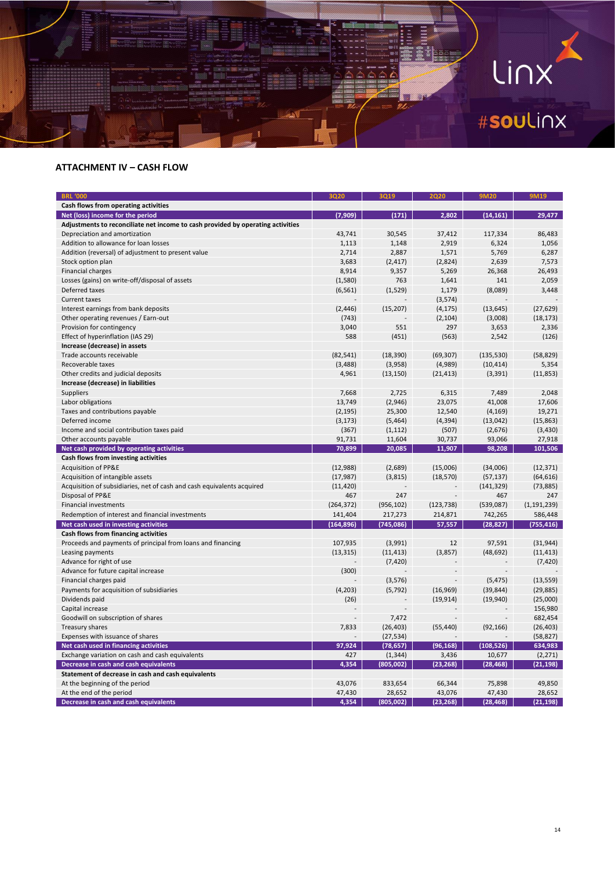# LINX

#### **ATTACHMENT IV – CASH FLOW**

iontaka.

| <b>BRL '000</b>                                                                 | 3020       | 3019       | 2020       | <b>9M20</b> | <b>9M19</b>   |
|---------------------------------------------------------------------------------|------------|------------|------------|-------------|---------------|
| Cash flows from operating activities                                            |            |            |            |             |               |
| Net (loss) income for the period                                                | (7,909)    | (171)      | 2,802      | (14, 161)   | 29,477        |
| Adjustments to reconciliate net income to cash provided by operating activities |            |            |            |             |               |
| Depreciation and amortization                                                   | 43,741     | 30,545     | 37,412     | 117,334     | 86,483        |
| Addition to allowance for loan losses                                           | 1,113      | 1,148      | 2,919      | 6,324       | 1,056         |
| Addition (reversal) of adjustment to present value                              | 2,714      | 2,887      | 1,571      | 5,769       | 6,287         |
| Stock option plan                                                               | 3,683      | (2, 417)   | (2,824)    | 2,639       | 7,573         |
| <b>Financial charges</b>                                                        | 8,914      | 9,357      | 5,269      | 26,368      | 26,493        |
| Losses (gains) on write-off/disposal of assets                                  | (1,580)    | 763        | 1,641      | 141         | 2,059         |
| Deferred taxes                                                                  | (6, 561)   | (1,529)    | 1,179      | (8,089)     | 3,448         |
| <b>Current taxes</b>                                                            |            |            | (3, 574)   |             |               |
| Interest earnings from bank deposits                                            | (2, 446)   | (15, 207)  | (4, 175)   | (13, 645)   | (27, 629)     |
| Other operating revenues / Earn-out                                             | (743)      |            | (2, 104)   | (3,008)     | (18, 173)     |
| Provision for contingency                                                       | 3,040      | 551        | 297        | 3,653       | 2,336         |
| Effect of hyperinflation (IAS 29)                                               | 588        | (451)      | (563)      | 2,542       | (126)         |
| Increase (decrease) in assets                                                   |            |            |            |             |               |
| Trade accounts receivable                                                       | (82, 541)  | (18, 390)  | (69, 307)  | (135, 530)  | (58, 829)     |
| Recoverable taxes                                                               | (3, 488)   | (3,958)    | (4,989)    | (10, 414)   | 5,354         |
| Other credits and judicial deposits                                             | 4,961      | (13, 150)  | (21, 413)  | (3, 391)    | (11, 853)     |
| Increase (decrease) in liabilities                                              |            |            |            |             |               |
| Suppliers                                                                       | 7,668      | 2,725      | 6,315      | 7,489       | 2,048         |
| Labor obligations                                                               | 13,749     | (2,946)    | 23,075     | 41,008      | 17,606        |
| Taxes and contributions payable                                                 | (2, 195)   | 25,300     | 12,540     | (4, 169)    | 19,271        |
| Deferred income                                                                 | (3, 173)   | (5, 464)   | (4, 394)   | (13, 042)   | (15, 863)     |
| Income and social contribution taxes paid                                       | (367)      | (1, 112)   | (507)      | (2,676)     | (3, 430)      |
| Other accounts payable                                                          | 91,731     | 11,604     | 30,737     | 93,066      | 27,918        |
| Net cash provided by operating activities                                       | 70,899     | 20,085     | 11,907     | 98,208      | 101,506       |
| Cash flows from investing activities                                            |            |            |            |             |               |
| Acquisition of PP&E                                                             | (12,988)   | (2,689)    | (15,006)   | (34,006)    | (12, 371)     |
| Acquisition of intangible assets                                                | (17, 987)  | (3,815)    | (18, 570)  | (57, 137)   | (64, 616)     |
| Acquisition of subsidiaries, net of cash and cash equivalents acquired          | (11, 420)  |            |            | (141, 329)  | (73, 885)     |
| Disposal of PP&E                                                                | 467        | 247        |            | 467         | 247           |
| <b>Financial investments</b>                                                    | (264, 372) | (956, 102) | (123, 738) | (539,087)   | (1, 191, 239) |
| Redemption of interest and financial investments                                | 141,404    | 217,273    | 214,871    | 742,265     | 586,448       |
| Net cash used in investing activities                                           | (164, 896) | (745,086)  | 57,557     | (28, 827)   | (755, 416)    |
| Cash flows from financing activities                                            |            |            |            |             |               |
| Proceeds and payments of principal from loans and financing                     | 107,935    | (3,991)    | 12         | 97,591      | (31, 944)     |
| Leasing payments                                                                | (13, 315)  | (11, 413)  | (3,857)    | (48, 692)   | (11, 413)     |
| Advance for right of use                                                        |            | (7, 420)   |            |             | (7, 420)      |
| Advance for future capital increase                                             | (300)      |            |            |             |               |
| Financial charges paid                                                          |            | (3, 576)   |            | (5, 475)    | (13, 559)     |
| Payments for acquisition of subsidiaries                                        | (4, 203)   | (5, 792)   | (16, 969)  | (39, 844)   | (29, 885)     |
| Dividends paid                                                                  | (26)       |            | (19, 914)  | (19, 940)   | (25,000)      |
| Capital increase                                                                |            |            |            |             | 156,980       |
| Goodwill on subscription of shares                                              |            | 7,472      |            |             | 682,454       |
| Treasury shares                                                                 | 7,833      | (26, 403)  | (55, 440)  | (92, 166)   | (26, 403)     |
| Expenses with issuance of shares                                                |            | (27, 534)  |            |             | (58, 827)     |
| Net cash used in financing activities                                           | 97,924     | (78, 657)  | (96, 168)  | (108, 526)  | 634,983       |
| Exchange variation on cash and cash equivalents                                 | 427        | (1, 344)   | 3,436      | 10,677      | (2, 271)      |
| Decrease in cash and cash equivalents                                           | 4,354      | (805, 002) | (23, 268)  | (28, 468)   | (21, 198)     |
| Statement of decrease in cash and cash equivalents                              |            |            |            |             |               |
| At the beginning of the period                                                  | 43,076     | 833,654    | 66,344     | 75,898      | 49,850        |
| At the end of the period                                                        | 47,430     | 28,652     | 43,076     | 47,430      | 28,652        |
|                                                                                 |            |            | (23, 268)  | (28, 468)   | (21, 198)     |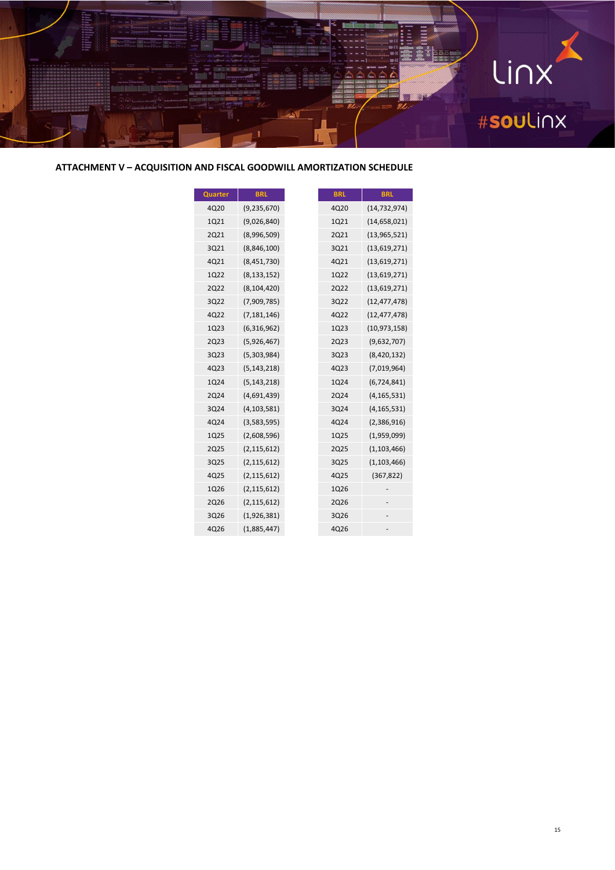

**ATTACHMENT V – ACQUISITION AND FISCAL GOODWILL AMORTIZATION SCHEDULE**

| Quarter     | <b>BRL</b>    |
|-------------|---------------|
| 4Q20        | (9, 235, 670) |
| 1Q21        | (9,026,840)   |
| 2Q21        | (8,996,509)   |
| 3Q21        | (8,846,100)   |
| 4Q21        | (8,451,730)   |
| 1Q22        | (8, 133, 152) |
| <b>2Q22</b> | (8, 104, 420) |
| 3Q22        | (7,909,785)   |
| 4Q22        | (7, 181, 146) |
| 1Q23        | (6, 316, 962) |
| <b>2Q23</b> | (5,926,467)   |
| 3Q23        | (5,303,984)   |
| 4Q23        | (5, 143, 218) |
| 1Q24        | (5, 143, 218) |
| 2Q24        | (4,691,439)   |
| 3Q24        | (4, 103, 581) |
| 4Q24        | (3,583,595)   |
| 1Q25        | (2,608,596)   |
| 2Q25        | (2, 115, 612) |
| 3Q25        | (2, 115, 612) |
| 4Q25        | (2, 115, 612) |
| 1Q26        | (2, 115, 612) |
| 2Q26        | (2, 115, 612) |
| 3Q26        | (1,926,381)   |
| 4Q26        | (1,885,447)   |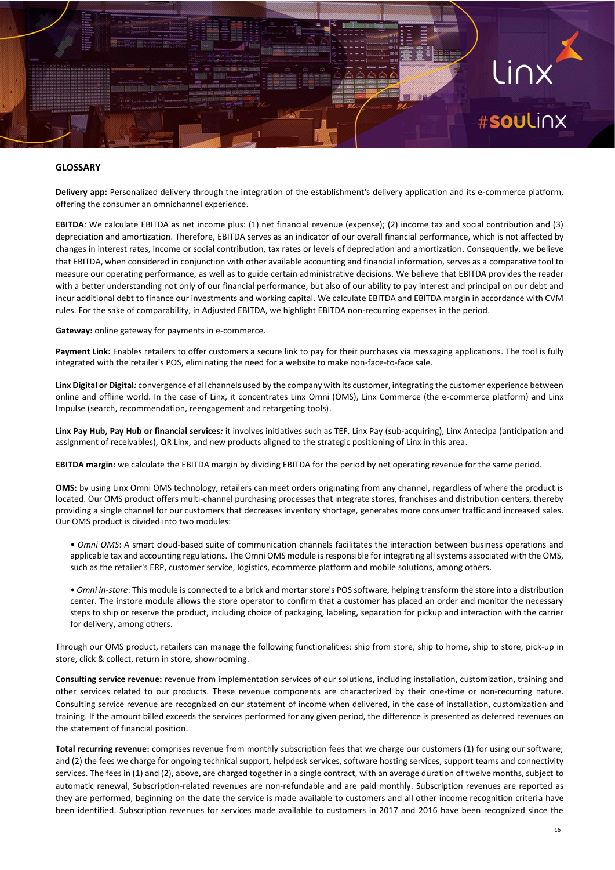# #soulinx

#### **GLOSSARY**

**Delivery app:** Personalized delivery through the integration of the establishment's delivery application and its e-commerce platform, offering the consumer an omnichannel experience.

**EBITDA**: We calculate EBITDA as net income plus: (1) net financial revenue (expense); (2) income tax and social contribution and (3) depreciation and amortization. Therefore, EBITDA serves as an indicator of our overall financial performance, which is not affected by changes in interest rates, income or social contribution, tax rates or levels of depreciation and amortization. Consequently, we believe that EBITDA, when considered in conjunction with other available accounting and financial information, serves as a comparative tool to measure our operating performance, as well as to guide certain administrative decisions. We believe that EBITDA provides the reader with a better understanding not only of our financial performance, but also of our ability to pay interest and principal on our debt and incur additional debt to finance our investments and working capital. We calculate EBITDA and EBITDA margin in accordance with CVM rules. For the sake of comparability, in Adjusted EBITDA, we highlight EBITDA non-recurring expenses in the period.

**Gateway:** online gateway for payments in e-commerce.

**Payment Link:** Enables retailers to offer customers a secure link to pay for their purchases via messaging applications. The tool is fully integrated with the retailer's POS, eliminating the need for a website to make non-face-to-face sale.

Linx Digital or Digital: convergence of all channels used by the company with its customer, integrating the customer experience between online and offline world. In the case of Linx, it concentrates Linx Omni (OMS), Linx Commerce (the e-commerce platform) and Linx Impulse (search, recommendation, reengagement and retargeting tools).

**Linx Pay Hub, Pay Hub or financial services***:* it involves initiatives such as TEF, Linx Pay (sub-acquiring), Linx Antecipa (anticipation and assignment of receivables), QR Linx, and new products aligned to the strategic positioning of Linx in this area.

**EBITDA margin**: we calculate the EBITDA margin by dividing EBITDA for the period by net operating revenue for the same period.

**OMS:** by using Linx Omni OMS technology, retailers can meet orders originating from any channel, regardless of where the product is located. Our OMS product offers multi-channel purchasing processes that integrate stores, franchises and distribution centers, thereby providing a single channel for our customers that decreases inventory shortage, generates more consumer traffic and increased sales. Our OMS product is divided into two modules:

- *Omni OMS*: A smart cloud-based suite of communication channels facilitates the interaction between business operations and applicable tax and accounting regulations. The Omni OMS module is responsible for integrating all systems associated with the OMS, such as the retailer's ERP, customer service, logistics, ecommerce platform and mobile solutions, among others.
- *Omni in-store*: This module is connected to a brick and mortar store's POS software, helping transform the store into a distribution center. The instore module allows the store operator to confirm that a customer has placed an order and monitor the necessary steps to ship or reserve the product, including choice of packaging, labeling, separation for pickup and interaction with the carrier for delivery, among others.

Through our OMS product, retailers can manage the following functionalities: ship from store, ship to home, ship to store, pick-up in store, click & collect, return in store, showrooming.

**Consulting service revenue:** revenue from implementation services of our solutions, including installation, customization, training and other services related to our products. These revenue components are characterized by their one-time or non-recurring nature. Consulting service revenue are recognized on our statement of income when delivered, in the case of installation, customization and training. If the amount billed exceeds the services performed for any given period, the difference is presented as deferred revenues on the statement of financial position.

**Total recurring revenue:** comprises revenue from monthly subscription fees that we charge our customers (1) for using our software; and (2) the fees we charge for ongoing technical support, helpdesk services, software hosting services, support teams and connectivity services. The fees in (1) and (2), above, are charged together in a single contract, with an average duration of twelve months, subject to automatic renewal, Subscription-related revenues are non-refundable and are paid monthly. Subscription revenues are reported as they are performed, beginning on the date the service is made available to customers and all other income recognition criteria have been identified. Subscription revenues for services made available to customers in 2017 and 2016 have been recognized since the